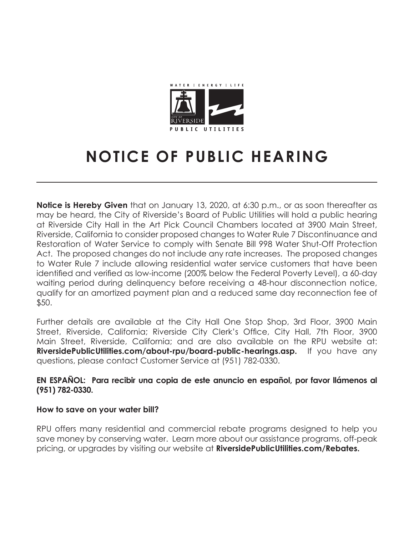

# **NOTICE OF PUBLIC HEARING**

**Notice is Hereby Given** that on January 13, 2020, at 6:30 p.m., or as soon thereafter as may be heard, the City of Riverside's Board of Public Utilities will hold a public hearing at Riverside City Hall in the Art Pick Council Chambers located at 3900 Main Street, Riverside, California to consider proposed changes to Water Rule 7 Discontinuance and Restoration of Water Service to comply with Senate Bill 998 Water Shut-Off Protection Act. The proposed changes do not include any rate increases. The proposed changes to Water Rule 7 include allowing residential water service customers that have been identified and verified as low-income (200% below the Federal Poverty Level), a 60-day waiting period during delinquency before receiving a 48-hour disconnection notice, qualify for an amortized payment plan and a reduced same day reconnection fee of \$50.

Further details are available at the City Hall One Stop Shop, 3rd Floor, 3900 Main Street, Riverside, California; Riverside City Clerk's Office, City Hall, 7th Floor, 3900 Main Street, Riverside, California; and are also available on the RPU website at: **RiversidePublicUtilities.com/about-rpu/board-public-hearings.asp.** If you have any questions, please contact Customer Service at (951) 782-0330.

# **EN ESPAÑOL: Para recibir una copia de este anuncio en español, por favor llámenos al (951) 782-0330.**

# **How to save on your water bill?**

RPU offers many residential and commercial rebate programs designed to help you save money by conserving water. Learn more about our assistance programs, off-peak pricing, or upgrades by visiting our website at **RiversidePublicUtilities.com/Rebates.**